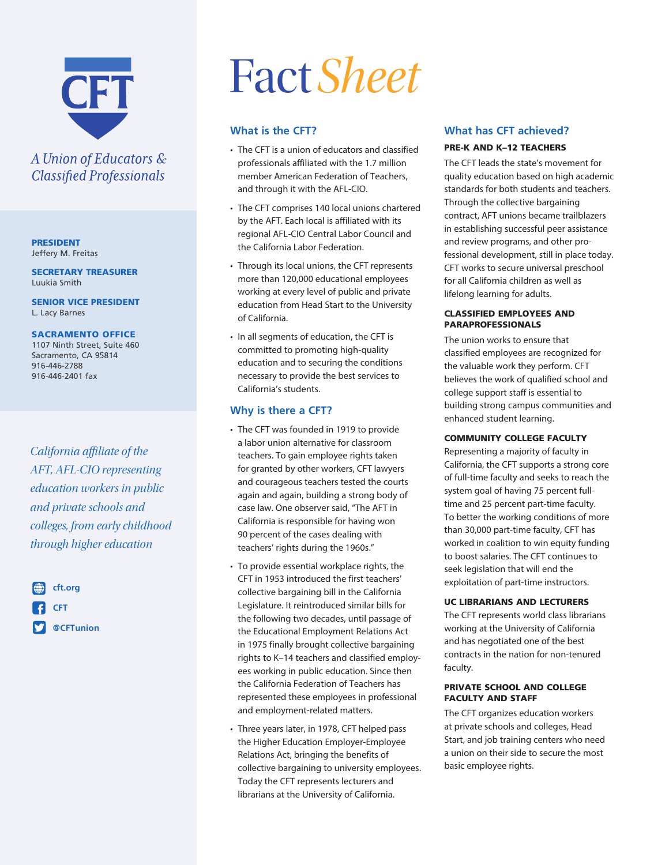

# A Union of Educators & **Classified Professionals**

PRESIDENT Jeffery M. Freitas

SECRETARY TREASURER Luukia Smith

SENIOR VICE PRESIDENT L. Lacy Barnes

#### SACRAMENTO OFFICE

1107 Ninth Street, Suite 460 Sacramento, CA 95814 916-446-2788 916-446-2401 fax

*California affiliate of the AFT, AFL-CIO representing education workers in public and private schools and colleges, from early childhood through higher education*



# Fact*Sheet*

# **What is the CFT?**

- The CFT is a union of educators and classified professionals affiliated with the 1.7 million member American Federation of Teachers, and through it with the AFL-CIO.
- The CFT comprises 140 local unions chartered by the AFT. Each local is affiliated with its regional AFL-CIO Central Labor Council and the California Labor Federation.
- Through its local unions, the CFT represents more than 120,000 educational employees working at every level of public and private education from Head Start to the University of California.
- In all segments of education, the CFT is committed to promoting high-quality education and to securing the conditions necessary to provide the best services to California's students.

# **Why is there a CFT?**

- The CFT was founded in 1919 to provide a labor union alternative for classroom teachers. To gain employee rights taken for granted by other workers, CFT lawyers and courageous teachers tested the courts again and again, building a strong body of case law. One observer said, "The AFT in California is responsible for having won 90 percent of the cases dealing with teachers' rights during the 1960s."
- To provide essential workplace rights, the CFT in 1953 introduced the first teachers' collective bargaining bill in the California Legislature. It reintroduced similar bills for the following two decades, until passage of the Educational Employment Relations Act in 1975 finally brought collective bargaining rights to K–14 teachers and classified employees working in public education. Since then the California Federation of Teachers has represented these employees in professional and employment-related matters.
- Three years later, in 1978, CFT helped pass the Higher Education Employer-Employee Relations Act, bringing the benefits of collective bargaining to university employees. Today the CFT represents lecturers and librarians at the University of California.

# **What has CFT achieved?**

## PRE-K AND K–12 TEACHERS

The CFT leads the state's movement for quality education based on high academic standards for both students and teachers. Through the collective bargaining contract, AFT unions became trailblazers in establishing successful peer assistance and review programs, and other professional development, still in place today. CFT works to secure universal preschool for all California children as well as lifelong learning for adults.

#### CLASSIFIED EMPLOYEES AND PARAPROFESSIONALS

The union works to ensure that classified employees are recognized for the valuable work they perform. CFT believes the work of qualified school and college support staff is essential to building strong campus communities and enhanced student learning.

#### COMMUNITY COLLEGE FACULTY

Representing a majority of faculty in California, the CFT supports a strong core of full-time faculty and seeks to reach the system goal of having 75 percent fulltime and 25 percent part-time faculty. To better the working conditions of more than 30,000 part-time faculty, CFT has worked in coalition to win equity funding to boost salaries. The CFT continues to seek legislation that will end the exploitation of part-time instructors.

#### UC LIBRARIANS AND LECTURERS

The CFT represents world class librarians working at the University of California and has negotiated one of the best contracts in the nation for non-tenured faculty.

#### PRIVATE SCHOOL AND COLLEGE FACULTY AND STAFF

The CFT organizes education workers at private schools and colleges, Head Start, and job training centers who need a union on their side to secure the most basic employee rights.